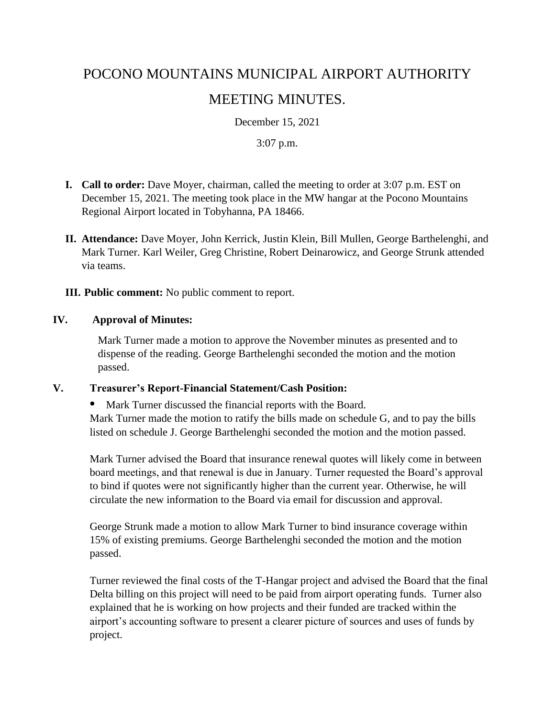# POCONO MOUNTAINS MUNICIPAL AIRPORT AUTHORITY MEETING MINUTES.

December 15, 2021

#### 3:07 p.m.

- **I. Call to order:** Dave Moyer, chairman, called the meeting to order at 3:07 p.m. EST on December 15, 2021. The meeting took place in the MW hangar at the Pocono Mountains Regional Airport located in Tobyhanna, PA 18466.
- **II. Attendance:** Dave Moyer, John Kerrick, Justin Klein, Bill Mullen, George Barthelenghi, and Mark Turner. Karl Weiler, Greg Christine, Robert Deinarowicz, and George Strunk attended via teams.

**III. Public comment:** No public comment to report.

#### **IV. Approval of Minutes:**

Mark Turner made a motion to approve the November minutes as presented and to dispense of the reading. George Barthelenghi seconded the motion and the motion passed.

#### **V. Treasurer's Report-Financial Statement/Cash Position:**

**•** Mark Turner discussed the financial reports with the Board. Mark Turner made the motion to ratify the bills made on schedule G, and to pay the bills listed on schedule J. George Barthelenghi seconded the motion and the motion passed.

Mark Turner advised the Board that insurance renewal quotes will likely come in between board meetings, and that renewal is due in January. Turner requested the Board's approval to bind if quotes were not significantly higher than the current year. Otherwise, he will circulate the new information to the Board via email for discussion and approval.

George Strunk made a motion to allow Mark Turner to bind insurance coverage within 15% of existing premiums. George Barthelenghi seconded the motion and the motion passed.

Turner reviewed the final costs of the T-Hangar project and advised the Board that the final Delta billing on this project will need to be paid from airport operating funds. Turner also explained that he is working on how projects and their funded are tracked within the airport's accounting software to present a clearer picture of sources and uses of funds by project.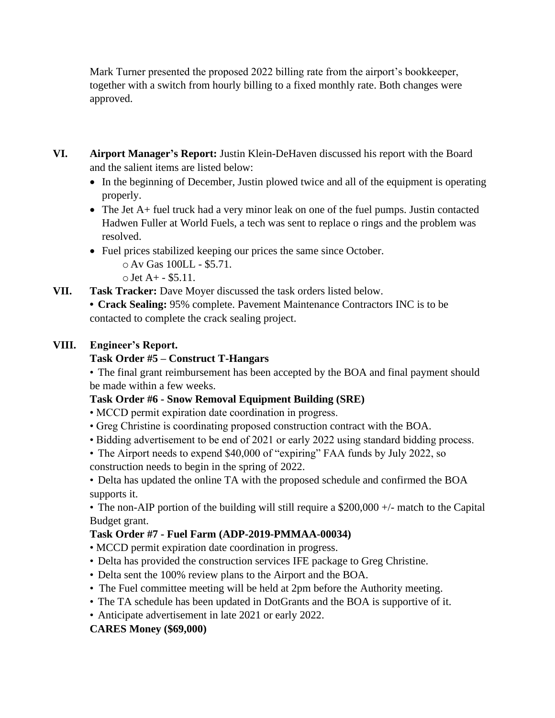Mark Turner presented the proposed 2022 billing rate from the airport's bookkeeper, together with a switch from hourly billing to a fixed monthly rate. Both changes were approved.

- **VI. Airport Manager's Report:** Justin Klein-DeHaven discussed his report with the Board and the salient items are listed below:
	- In the beginning of December, Justin plowed twice and all of the equipment is operating properly.
	- The Jet A+ fuel truck had a very minor leak on one of the fuel pumps. Justin contacted Hadwen Fuller at World Fuels, a tech was sent to replace o rings and the problem was resolved.
	- Fuel prices stabilized keeping our prices the same since October.
		- o Av Gas 100LL \$5.71.
		- $\circ$  Jet A + \$5.11.
- **VII. Task Tracker:** Dave Moyer discussed the task orders listed below.
	- **• Crack Sealing:** 95% complete. Pavement Maintenance Contractors INC is to be contacted to complete the crack sealing project.

# **VIII. Engineer's Report.**

#### **Task Order #5 – Construct T-Hangars**

• The final grant reimbursement has been accepted by the BOA and final payment should be made within a few weeks.

# **Task Order #6 - Snow Removal Equipment Building (SRE)**

- MCCD permit expiration date coordination in progress.
- Greg Christine is coordinating proposed construction contract with the BOA.
- Bidding advertisement to be end of 2021 or early 2022 using standard bidding process.
- The Airport needs to expend \$40,000 of "expiring" FAA funds by July 2022, so construction needs to begin in the spring of 2022.

• Delta has updated the online TA with the proposed schedule and confirmed the BOA supports it.

• The non-AIP portion of the building will still require a \$200,000 +/- match to the Capital Budget grant.

# **Task Order #7 - Fuel Farm (ADP-2019-PMMAA-00034)**

- MCCD permit expiration date coordination in progress.
- Delta has provided the construction services IFE package to Greg Christine.
- Delta sent the 100% review plans to the Airport and the BOA.
- The Fuel committee meeting will be held at 2pm before the Authority meeting.
- The TA schedule has been updated in DotGrants and the BOA is supportive of it.
- Anticipate advertisement in late 2021 or early 2022.

# **CARES Money (\$69,000)**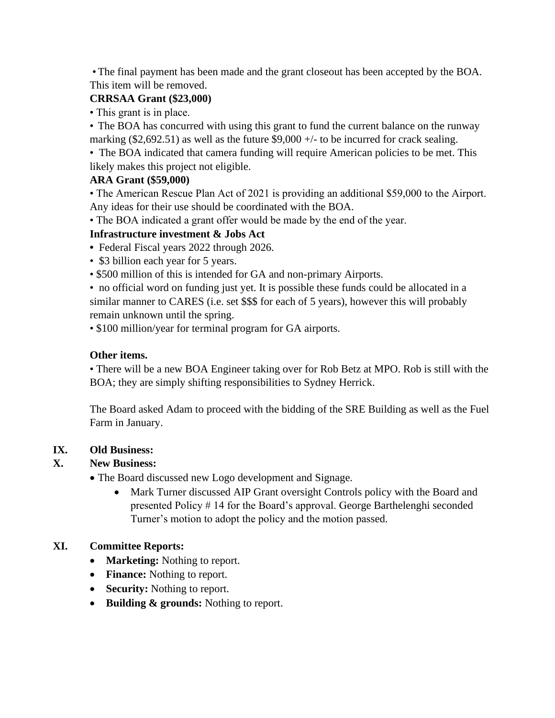•The final payment has been made and the grant closeout has been accepted by the BOA. This item will be removed.

#### **CRRSAA Grant (\$23,000)**

• This grant is in place.

• The BOA has concurred with using this grant to fund the current balance on the runway marking (\$2,692.51) as well as the future  $$9,000 +/-$  to be incurred for crack sealing.

• The BOA indicated that camera funding will require American policies to be met. This likely makes this project not eligible.

#### **ARA Grant (\$59,000)**

• The American Rescue Plan Act of 2021 is providing an additional \$59,000 to the Airport. Any ideas for their use should be coordinated with the BOA.

• The BOA indicated a grant offer would be made by the end of the year.

#### **Infrastructure investment & Jobs Act**

- Federal Fiscal years 2022 through 2026.
- \$3 billion each year for 5 years.
- \$500 million of this is intended for GA and non-primary Airports.

• no official word on funding just yet. It is possible these funds could be allocated in a similar manner to CARES (i.e. set \$\$\$ for each of 5 years), however this will probably remain unknown until the spring.

• \$100 million/year for terminal program for GA airports.

# **Other items.**

• There will be a new BOA Engineer taking over for Rob Betz at MPO. Rob is still with the BOA; they are simply shifting responsibilities to Sydney Herrick.

The Board asked Adam to proceed with the bidding of the SRE Building as well as the Fuel Farm in January.

#### **IX. Old Business:**

#### **X. New Business:**

• The Board discussed new Logo development and Signage.

• Mark Turner discussed AIP Grant oversight Controls policy with the Board and presented Policy # 14 for the Board's approval. George Barthelenghi seconded Turner's motion to adopt the policy and the motion passed.

# **XI. Committee Reports:**

- **Marketing:** Nothing to report.
- **Finance:** Nothing to report.
- **Security:** Nothing to report.
- **Building & grounds:** Nothing to report.